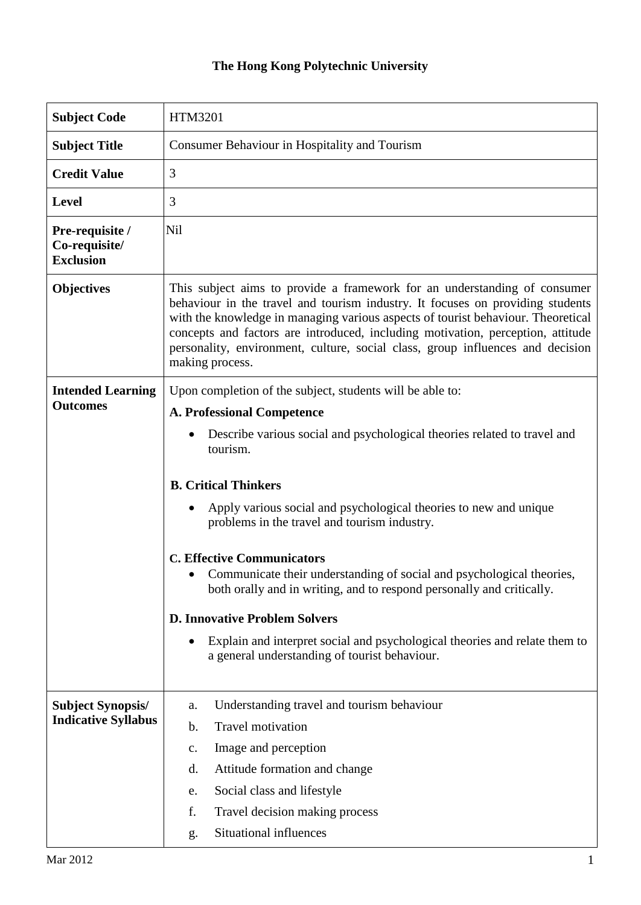## **The Hong Kong Polytechnic University**

| <b>Subject Code</b>                                    | <b>HTM3201</b>                                                                                                                                                                                                                                                                                                                                                                                                                                                                                                                                                                                                                                                                                           |  |  |
|--------------------------------------------------------|----------------------------------------------------------------------------------------------------------------------------------------------------------------------------------------------------------------------------------------------------------------------------------------------------------------------------------------------------------------------------------------------------------------------------------------------------------------------------------------------------------------------------------------------------------------------------------------------------------------------------------------------------------------------------------------------------------|--|--|
| <b>Subject Title</b>                                   | Consumer Behaviour in Hospitality and Tourism                                                                                                                                                                                                                                                                                                                                                                                                                                                                                                                                                                                                                                                            |  |  |
| <b>Credit Value</b>                                    | 3                                                                                                                                                                                                                                                                                                                                                                                                                                                                                                                                                                                                                                                                                                        |  |  |
| <b>Level</b>                                           | 3                                                                                                                                                                                                                                                                                                                                                                                                                                                                                                                                                                                                                                                                                                        |  |  |
| Pre-requisite /<br>Co-requisite/<br><b>Exclusion</b>   | Nil                                                                                                                                                                                                                                                                                                                                                                                                                                                                                                                                                                                                                                                                                                      |  |  |
| <b>Objectives</b>                                      | This subject aims to provide a framework for an understanding of consumer<br>behaviour in the travel and tourism industry. It focuses on providing students<br>with the knowledge in managing various aspects of tourist behaviour. Theoretical<br>concepts and factors are introduced, including motivation, perception, attitude<br>personality, environment, culture, social class, group influences and decision<br>making process.                                                                                                                                                                                                                                                                  |  |  |
| <b>Intended Learning</b><br><b>Outcomes</b>            | Upon completion of the subject, students will be able to:<br><b>A. Professional Competence</b><br>Describe various social and psychological theories related to travel and<br>tourism.<br><b>B. Critical Thinkers</b><br>Apply various social and psychological theories to new and unique<br>problems in the travel and tourism industry.<br><b>C. Effective Communicators</b><br>Communicate their understanding of social and psychological theories,<br>both orally and in writing, and to respond personally and critically.<br><b>D. Innovative Problem Solvers</b><br>Explain and interpret social and psychological theories and relate them to<br>a general understanding of tourist behaviour. |  |  |
| <b>Subject Synopsis/</b><br><b>Indicative Syllabus</b> | Understanding travel and tourism behaviour<br>a.<br><b>Travel motivation</b><br>b.<br>Image and perception<br>$\mathbf{c}$ .<br>Attitude formation and change<br>d.<br>Social class and lifestyle<br>e.<br>f.<br>Travel decision making process<br>Situational influences<br>g.                                                                                                                                                                                                                                                                                                                                                                                                                          |  |  |